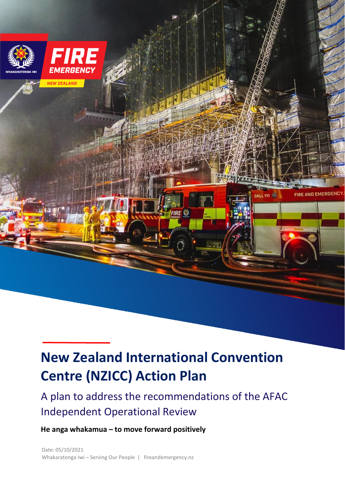

# **New Zealand International Convention Centre (NZICC) Action Plan**

# A plan to address the recommendations of the AFAC Independent Operational Review

**He anga whakamua – to move forward positively**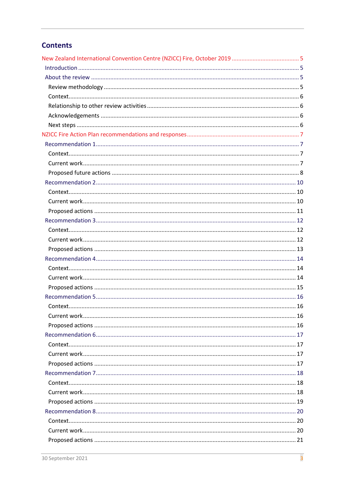# **Contents**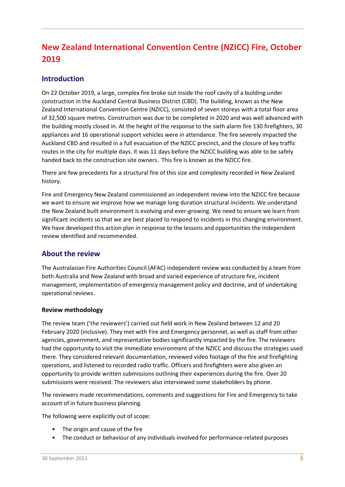# **New Zealand International Convention Centre (NZICC) Fire, October 2019**

## **Introduction**

On 22 October 2019, a large, complex fire broke out inside the roof cavity of a building under construction in the Auckland Central Business District (CBD). The building, known as the New Zealand International Convention Centre (NZICC), consisted of seven storeys with a total floor area of 32,500 square metres. Construction was due to be completed in 2020 and was well advanced with the building mostly closed in. At the height of the response to the sixth alarm fire 130 firefighters, 30 appliances and 16 operational support vehicles were in attendance. The fire severely impacted the Auckland CBD and resulted in a full evacuation of the NZICC precinct, and the closure of key traffic routes in the city for multiple days. It was 11 days before the NZICC building was able to be safely handed back to the construction site owners. This fire is known as the NZICC fire.

There are few precedents for a structural fire of this size and complexity recorded in New Zealand history.

Fire and Emergency New Zealand commissioned an independent review into the NZICC fire because we want to ensure we improve how we manage long duration structural incidents. We understand the New Zealand built environment is evolving and ever-growing. We need to ensure we learn from significant incidents so that we are best placed to respond to incidents in this changing environment. We have developed this action plan in response to the lessons and opportunities the independent review identified and recommended.

### **About the review**

The Australasian Fire Authorities Council (AFAC) independent review was conducted by a team from both Australia and New Zealand with broad and varied experience of structure fire, incident management, implementation of emergency management policy and doctrine, and of undertaking operational reviews.

#### **Review methodology**

The review team ('the reviewers') carried out field work in New Zealand between 12 and 20 February 2020 (inclusive). They met with Fire and Emergency personnel, as well as staff from other agencies, government, and representative bodies significantly impacted by the fire. The reviewers had the opportunity to visit the immediate environment of the NZICC and discuss the strategies used there. They considered relevant documentation, reviewed video footage of the fire and firefighting operations, and listened to recorded radio traffic. Officers and firefighters were also given an opportunity to provide written submissions outlining their experiences during the fire. Over 20 submissions were received. The reviewers also interviewed some stakeholders by phone.

The reviewers made recommendations, comments and suggestions for Fire and Emergency to take account of in future business planning.

The following were explicitly out of scope:

- The origin and cause of the fire
- The conduct or behaviour of any individuals involved for performance-related purposes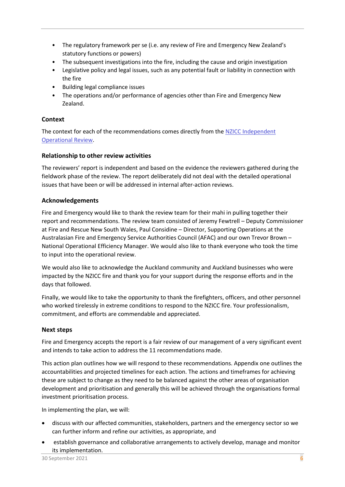- The regulatory framework per se (i.e. any review of Fire and Emergency New Zealand's statutory functions or powers)
- The subsequent investigations into the fire, including the cause and origin investigation
- Legislative policy and legal issues, such as any potential fault or liability in connection with the fire
- Building legal compliance issues
- The operations and/or performance of agencies other than Fire and Emergency New Zealand.

#### **Context**

The context for each of the recommendations comes directly from the [NZICC Independent](https://fireandemergency.nz/assets/Documents/Files/NZICC_Fire_Review_August_2020_Final.pdf) [Operational](https://fireandemergency.nz/assets/Documents/Files/NZICC_Fire_Review_August_2020_Final.pdf) Review.

#### **Relationship to other review activities**

The reviewers' report is independent and based on the evidence the reviewers gathered during the fieldwork phase of the review. The report deliberately did not deal with the detailed operational issues that have been or will be addressed in internal after-action reviews.

#### **Acknowledgements**

Fire and Emergency would like to thank the review team for their mahi in pulling together their report and recommendations. The review team consisted of Jeremy Fewtrell – Deputy Commissioner at Fire and Rescue New South Wales, Paul Considine – Director, Supporting Operations at the Australasian Fire and Emergency Service Authorities Council (AFAC) and our own Trevor Brown – National Operational Efficiency Manager. We would also like to thank everyone who took the time to input into the operational review.

We would also like to acknowledge the Auckland community and Auckland businesses who were impacted by the NZICC fire and thank you for your support during the response efforts and in the days that followed.

Finally, we would like to take the opportunity to thank the firefighters, officers, and other personnel who worked tirelessly in extreme conditions to respond to the NZICC fire. Your professionalism, commitment, and efforts are commendable and appreciated.

#### **Next steps**

Fire and Emergency accepts the report is a fair review of our management of a very significant event and intends to take action to address the 11 recommendations made.

This action plan outlines how we will respond to these recommendations. Appendix one outlines the accountabilities and projected timelines for each action. The actions and timeframes for achieving these are subject to change as they need to be balanced against the other areas of organisation development and prioritisation and generally this will be achieved through the organisations formal investment prioritisation process.

In implementing the plan, we will:

- discuss with our affected communities, stakeholders, partners and the emergency sector so we can further inform and refine our activities, as appropriate, and
- establish governance and collaborative arrangements to actively develop, manage and monitor its implementation.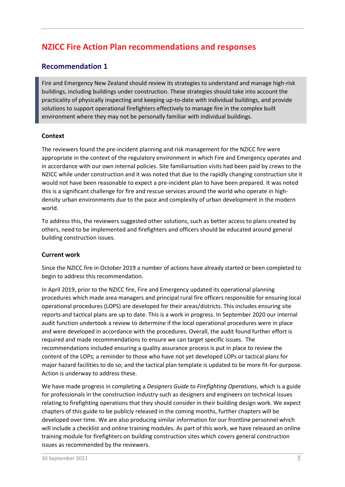# **NZICC Fire Action Plan recommendations and responses**

# **Recommendation 1**

Fire and Emergency New Zealand should review its strategies to understand and manage high-risk buildings, including buildings under construction. These strategies should take into account the practicality of physically inspecting and keeping up-to-date with individual buildings, and provide solutions to support operational firefighters effectively to manage fire in the complex built environment where they may not be personally familiar with individual buildings.

#### **Context**

The reviewers found the pre-incident planning and risk management for the NZICC fire were appropriate in the context of the regulatory environment in which Fire and Emergency operates and in accordance with our own internal policies. Site familiarisation visits had been paid by crews to the NZICC while under construction and it was noted that due to the rapidly changing construction site it would not have been reasonable to expect a pre-incident plan to have been prepared. It was noted this is a significant challenge for fire and rescue services around the world who operate in highdensity urban environments due to the pace and complexity of urban development in the modern world.

To address this, the reviewers suggested other solutions, such as better access to plans created by others, need to be implemented and firefighters and officers should be educated around general building construction issues.

#### **Current work**

Since the NZICC fire in October 2019 a number of actions have already started or been completed to begin to address this recommendation.

In April 2019, prior to the NZICC fire, Fire and Emergency updated its operational planning procedures which made area managers and principal rural fire officers responsible for ensuring local operational procedures (LOPS) are developed for their areas/districts. This includes ensuring site reports and tactical plans are up to date. This is a work in progress. In September 2020 our internal audit function undertook a review to determine if the local operational procedures were in place and were developed in accordance with the procedures. Overall, the audit found further effort is required and made recommendations to ensure we can target specific issues. The recommendations included ensuring a quality assurance process is put in place to review the content of the LOPs; a reminder to those who have not yet developed LOPs or tactical plans for major hazard facilities to do so; and the tactical plan template is updated to be more fit-for-purpose. Action is underway to address these.

We have made progress in completing a *Designers Guide to Firefighting Operations*, which is a guide for professionals in the construction industry such as designers and engineers on technical issues relating to firefighting operations that they should consider in their building design work. We expect chapters of this guide to be publicly released in the coming months, further chapters will be developed over time. We are also producing similar information for our frontline personnel which will include a checklist and online training modules. As part of this work, we have released an online training module for firefighters on building construction sites which covers general construction issues as recommended by the reviewers.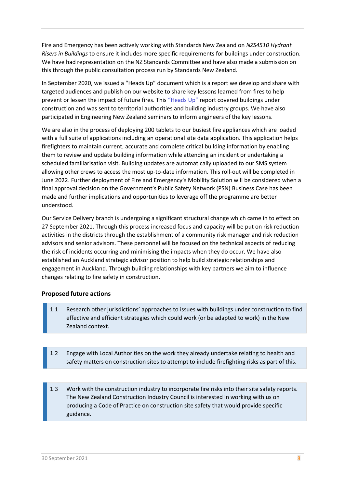Fire and Emergency has been actively working with Standards New Zealand on *NZS4510 Hydrant Risers in Buildings* to ensure it includes more specific requirements for buildings under construction. We have had representation on the NZ Standards Committee and have also made a submission on this through the public consultation process run by Standards New Zealand.

In September 2020, we issued a "Heads Up" document which is a report we develop and share with targeted audiences and publish on our website to share key lessons learned from fires to help prevent or lessen the impact of future fires. This ["Heads Up"](https://fireandemergency.nz/assets/Documents/Heads-up/2020-09-01-Heads-Up-30.pdf) report covered buildings under construction and was sent to territorial authorities and building industry groups. We have also participated in Engineering New Zealand seminars to inform engineers of the key lessons.

We are also in the process of deploying 200 tablets to our busiest fire appliances which are loaded with a full suite of applications including an operational site data application. This application helps firefighters to maintain current, accurate and complete critical building information by enabling them to review and update building information while attending an incident or undertaking a scheduled familiarisation visit. Building updates are automatically uploaded to our SMS system allowing other crews to access the most up-to-date information. This roll-out will be completed in June 2022. Further deployment of Fire and Emergency's Mobility Solution will be considered when a final approval decision on the Government's Public Safety Network (PSN) Business Case has been made and further implications and opportunities to leverage off the programme are better understood.

Our Service Delivery branch is undergoing a significant structural change which came in to effect on 27 September 2021. Through this process increased focus and capacity will be put on risk reduction activities in the districts through the establishment of a community risk manager and risk reduction advisors and senior advisors. These personnel will be focused on the technical aspects of reducing the risk of incidents occurring and minimising the impacts when they do occur. We have also established an Auckland strategic advisor position to help build strategic relationships and engagement in Auckland. Through building relationships with key partners we aim to influence changes relating to fire safety in construction.

#### **Proposed future actions**

- 1.1 Research other jurisdictions' approaches to issues with buildings under construction to find effective and efficient strategies which could work (or be adapted to work) in the New Zealand context.
- 1.2 Engage with Local Authorities on the work they already undertake relating to health and safety matters on construction sites to attempt to include firefighting risks as part of this.
- 1.3 Work with the construction industry to incorporate fire risks into their site safety reports. The New Zealand Construction Industry Council is interested in working with us on producing a Code of Practice on construction site safety that would provide specific guidance.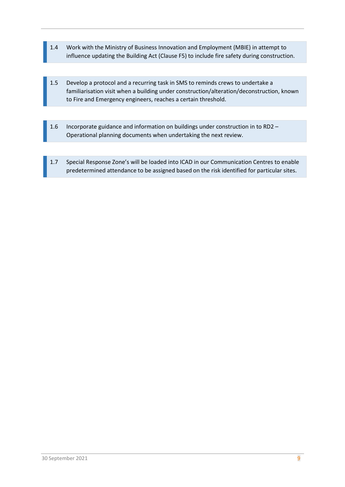- 1.4 Work with the Ministry of Business Innovation and Employment (MBIE) in attempt to influence updating the Building Act (Clause F5) to include fire safety during construction.
- 1.5 Develop a protocol and a recurring task in SMS to reminds crews to undertake a familiarisation visit when a building under construction/alteration/deconstruction, known to Fire and Emergency engineers, reaches a certain threshold.
- 1.6 Incorporate guidance and information on buildings under construction in to RD2 Operational planning documents when undertaking the next review.
- 1.7 Special Response Zone's will be loaded into ICAD in our Communication Centres to enable predetermined attendance to be assigned based on the risk identified for particular sites.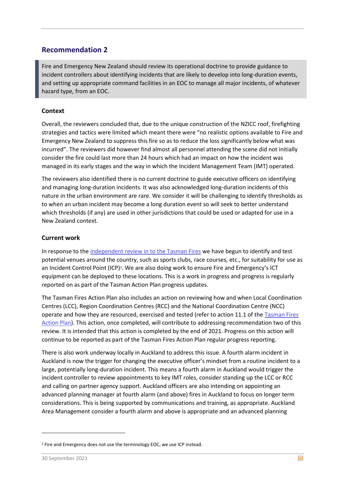Fire and Emergency New Zealand should review its operational doctrine to provide guidance to incident controllers about identifying incidents that are likely to develop into long-duration events, and setting up appropriate command facilities in an EOC to manage all major incidents, of whatever hazard type, from an EOC.

#### **Context**

Overall, the reviewers concluded that, due to the unique construction of the NZICC roof, firefighting strategies and tactics were limited which meant there were "no realistic options available to Fire and Emergency New Zealand to suppress this fire so as to reduce the loss significantly below what was incurred". The reviewers did however find almost all personnel attending the scene did not initially consider the fire could last more than 24 hours which had an impact on how the incident was managed in its early stages and the way in which the Incident Management Team (IMT) operated.

The reviewers also identified there is no current doctrine to guide executive officers on identifying and managing long-duration incidents. It was also acknowledged long-duration incidents of this nature in the urban environment are rare. We consider it will be challenging to identify thresholds as to when an urban incident may become a long duration event so will seek to better understand which thresholds (if any) are used in other jurisdictions that could be used or adapted for use in a New Zealand context.

#### **Current work**

In response to th[e independent review in to the Tasman Fires](https://fireandemergency.nz/assets/Documents/Research-and-reports/Tasman-Fires/Tasman-Fires-Review-2019.pdf) we have begun to identify and test potential venues around the country, such as sports clubs, race courses, etc., for suitability for use as an Incident Control Point (ICP)<sup>1</sup>. We are also doing work to ensure Fire and Emergency's ICT equipment can be deployed to these locations. This is a work in progress and progress is regularly reported on as part of the Tasman Action Plan progress updates.

The Tasman Fires Action Plan also includes an action on reviewing how and when Local Coordination Centres (LCC), Region Coordination Centres (RCC) and the National Coordination Centre (NCC) operate and how they are resourced, exercised and tested (refer to action 11.1 of th[e Tasman Fires](https://fireandemergency.nz/assets/Documents/Research-and-reports/Tasman-Fires/Tasman-Fires-Action-Plan.pdf) [Action Plan\)](https://fireandemergency.nz/assets/Documents/Research-and-reports/Tasman-Fires/Tasman-Fires-Action-Plan.pdf). This action, once completed, will contribute to addressing recommendation two of this review. It is intended that this action is completed by the end of 2021. Progress on this action will continue to be reported as part of the Tasman Fires Action Plan regular progress reporting.

There is also work underway locally in Auckland to address this issue. A fourth alarm incident in Auckland is now the trigger for changing the executive officer's mindset from a routine incident to a large, potentially long-duration incident. This means a fourth alarm in Auckland would trigger the incident controller to review appointments to key IMT roles, consider standing up the LCC or RCC and calling on partner agency support. Auckland officers are also intending on appointing an advanced planning manager at fourth alarm (and above) fires in Auckland to focus on longer term considerations. This is being supported by communications and training, as appropriate. Auckland Area Management consider a fourth alarm and above is appropriate and an advanced planning

<sup>&</sup>lt;sup>1</sup> Fire and Emergency does not use the terminology EOC, we use ICP instead.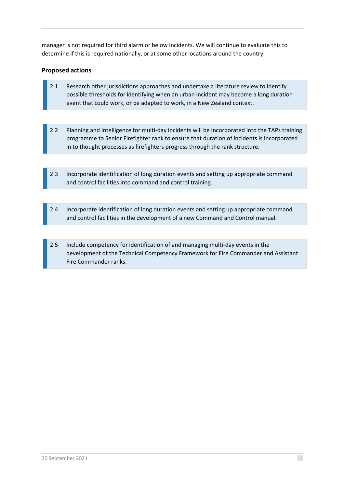manager is not required for third alarm or below incidents. We will continue to evaluate this to determine if this is required nationally, or at some other locations around the country.

- 2.1 Research other jurisdictions approaches and undertake a literature review to identify possible thresholds for identifying when an urban incident may become a long duration event that could work, or be adapted to work, in a New Zealand context.
- 2.2 Planning and Intelligence for multi-day incidents will be incorporated into the TAPs training programme to Senior Firefighter rank to ensure that duration of incidents is incorporated in to thought processes as firefighters progress through the rank structure.
- 2.3 Incorporate identification of long duration events and setting up appropriate command and control facilities into command and control training.
- 2.4 Incorporate identification of long duration events and setting up appropriate command and control facilities in the development of a new Command and Control manual.
- 2.5 Include competency for identification of and managing multi-day events in the development of the Technical Competency Framework for Fire Commander and Assistant Fire Commander ranks.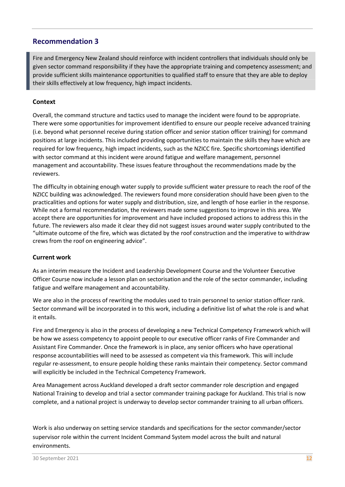Fire and Emergency New Zealand should reinforce with incident controllers that individuals should only be given sector command responsibility if they have the appropriate training and competency assessment; and provide sufficient skills maintenance opportunities to qualified staff to ensure that they are able to deploy their skills effectively at low frequency, high impact incidents.

#### **Context**

Overall, the command structure and tactics used to manage the incident were found to be appropriate. There were some opportunities for improvement identified to ensure our people receive advanced training (i.e. beyond what personnel receive during station officer and senior station officer training) for command positions at large incidents. This included providing opportunities to maintain the skills they have which are required for low frequency, high impact incidents, such as the NZICC fire. Specific shortcomings identified with sector command at this incident were around fatigue and welfare management, personnel management and accountability. These issues feature throughout the recommendations made by the reviewers.

The difficulty in obtaining enough water supply to provide sufficient water pressure to reach the roof of the NZICC building was acknowledged. The reviewers found more consideration should have been given to the practicalities and options for water supply and distribution, size, and length of hose earlier in the response. While not a formal recommendation, the reviewers made some suggestions to improve in this area. We accept there are opportunities for improvement and have included proposed actions to address this in the future. The reviewers also made it clear they did not suggest issues around water supply contributed to the "ultimate outcome of the fire, which was dictated by the roof construction and the imperative to withdraw crews from the roof on engineering advice".

#### **Current work**

As an interim measure the Incident and Leadership Development Course and the Volunteer Executive Officer Course now include a lesson plan on sectorisation and the role of the sector commander, including fatigue and welfare management and accountability.

We are also in the process of rewriting the modules used to train personnel to senior station officer rank. Sector command will be incorporated in to this work, including a definitive list of what the role is and what it entails.

Fire and Emergency is also in the process of developing a new Technical Competency Framework which will be how we assess competency to appoint people to our executive officer ranks of Fire Commander and Assistant Fire Commander. Once the framework is in place, any senior officers who have operational response accountabilities will need to be assessed as competent via this framework. This will include regular re-assessment, to ensure people holding these ranks maintain their competency. Sector command will explicitly be included in the Technical Competency Framework.

Area Management across Auckland developed a draft sector commander role description and engaged National Training to develop and trial a sector commander training package for Auckland. This trial is now complete, and a national project is underway to develop sector commander training to all urban officers.

Work is also underway on setting service standards and specifications for the sector commander/sector supervisor role within the current Incident Command System model across the built and natural environments.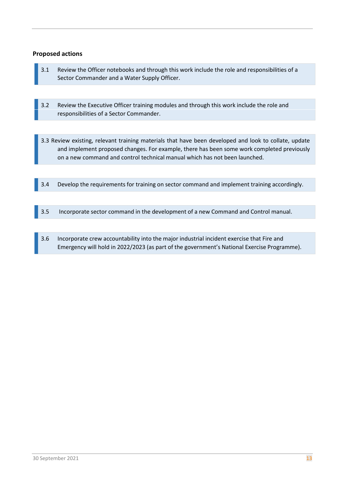- 3.1 Review the Officer notebooks and through this work include the role and responsibilities of a Sector Commander and a Water Supply Officer.
- 3.2 Review the Executive Officer training modules and through this work include the role and responsibilities of a Sector Commander.
- 3.3 Review existing, relevant training materials that have been developed and look to collate, update and implement proposed changes. For example, there has been some work completed previously on a new command and control technical manual which has not been launched.
- 3.4 Develop the requirements for training on sector command and implement training accordingly.
- 3.5 Incorporate sector command in the development of a new Command and Control manual.
- 3.6 Incorporate crew accountability into the major industrial incident exercise that Fire and Emergency will hold in 2022/2023 (as part of the government's National Exercise Programme).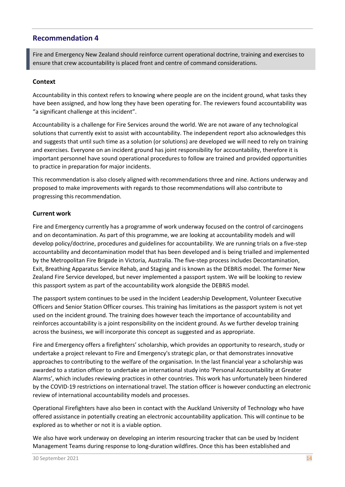Fire and Emergency New Zealand should reinforce current operational doctrine, training and exercises to ensure that crew accountability is placed front and centre of command considerations.

#### **Context**

Accountability in this context refers to knowing where people are on the incident ground, what tasks they have been assigned, and how long they have been operating for. The reviewers found accountability was "a significant challenge at this incident".

Accountability is a challenge for Fire Services around the world. We are not aware of any technological solutions that currently exist to assist with accountability. The independent report also acknowledges this and suggests that until such time as a solution (or solutions) are developed we will need to rely on training and exercises. Everyone on an incident ground has joint responsibility for accountability, therefore it is important personnel have sound operational procedures to follow are trained and provided opportunities to practice in preparation for major incidents.

This recommendation is also closely aligned with recommendations three and nine. Actions underway and proposed to make improvements with regards to those recommendations will also contribute to progressing this recommendation.

#### **Current work**

Fire and Emergency currently has a programme of work underway focused on the control of carcinogens and on decontamination. As part of this programme, we are looking at accountability models and will develop policy/doctrine, procedures and guidelines for accountability. We are running trials on a five-step accountability and decontamination model that has been developed and is being trialled and implemented by the Metropolitan Fire Brigade in Victoria, Australia. The five-step process includes Decontamination, Exit, Breathing Apparatus Service Rehab, and Staging and is known as the DEBRiS model. The former New Zealand Fire Service developed, but never implemented a passport system. We will be looking to review this passport system as part of the accountability work alongside the DEBRiS model.

The passport system continues to be used in the Incident Leadership Development, Volunteer Executive Officers and Senior Station Officer courses. This training has limitations as the passport system is not yet used on the incident ground. The training does however teach the importance of accountability and reinforces accountability is a joint responsibility on the incident ground. As we further develop training across the business, we will incorporate this concept as suggested and as appropriate.

Fire and Emergency offers a firefighters' scholarship, which provides an opportunity to research, study or undertake a project relevant to Fire and Emergency's strategic plan, or that demonstrates innovative approaches to contributing to the welfare of the organisation. In the last financial year a scholarship was awarded to a station officer to undertake an international study into 'Personal Accountability at Greater Alarms', which includes reviewing practices in other countries. This work has unfortunately been hindered by the COVID-19 restrictions on international travel. The station officer is however conducting an electronic review of international accountability models and processes.

Operational Firefighters have also been in contact with the Auckland University of Technology who have offered assistance in potentially creating an electronic accountability application. This will continue to be explored as to whether or not it is a viable option.

We also have work underway on developing an interim resourcing tracker that can be used by Incident Management Teams during response to long-duration wildfires. Once this has been established and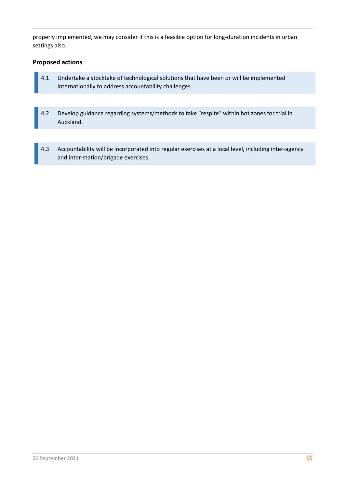properly implemented, we may consider if this is a feasible option for long-duration incidents in urban settings also.

- 4.1 Undertake a stocktake of technological solutions that have been or will be implemented internationally to address accountability challenges.
- 4.2 Develop guidance regarding systems/methods to take "respite" within hot zones for trial in Auckland.
- 4.3 Accountability will be incorporated into regular exercises at a local level, including inter-agency and inter-station/brigade exercises.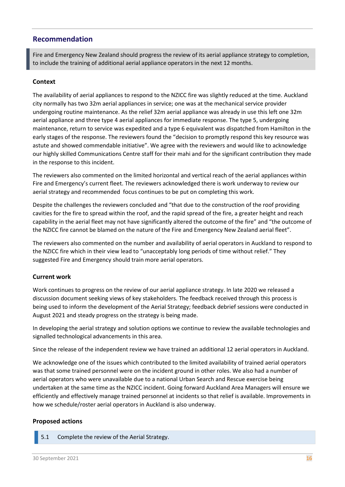**16** Fire and Emergency New Zealand should progress the review of its aerial appliance strategy to completion, to include the training of additional aerial appliance operators in the next 12 months.

#### **Context**

The availability of aerial appliances to respond to the NZICC fire was slightly reduced at the time. Auckland city normally has two 32m aerial appliances in service; one was at the mechanical service provider undergoing routine maintenance. As the relief 32m aerial appliance was already in use this left one 32m aerial appliance and three type 4 aerial appliances for immediate response. The type 5, undergoing maintenance, return to service was expedited and a type 6 equivalent was dispatched from Hamilton in the early stages of the response. The reviewers found the "decision to promptly respond this key resource was astute and showed commendable initiative". We agree with the reviewers and would like to acknowledge our highly skilled Communications Centre staff for their mahi and for the significant contribution they made in the response to this incident.

The reviewers also commented on the limited horizontal and vertical reach of the aerial appliances within Fire and Emergency's current fleet. The reviewers acknowledged there is work underway to review our aerial strategy and recommended focus continues to be put on completing this work.

Despite the challenges the reviewers concluded and "that due to the construction of the roof providing cavities for the fire to spread within the roof, and the rapid spread of the fire, a greater height and reach capability in the aerial fleet may not have significantly altered the outcome of the fire" and "the outcome of the NZICC fire cannot be blamed on the nature of the Fire and Emergency New Zealand aerial fleet".

The reviewers also commented on the number and availability of aerial operators in Auckland to respond to the NZICC fire which in their view lead to "unacceptably long periods of time without relief." They suggested Fire and Emergency should train more aerial operators.

#### **Current work**

Work continues to progress on the review of our aerial appliance strategy. In late 2020 we released a discussion document seeking views of key stakeholders. The feedback received through this process is being used to inform the development of the Aerial Strategy; feedback debrief sessions were conducted in August 2021 and steady progress on the strategy is being made.

In developing the aerial strategy and solution options we continue to review the available technologies and signalled technological advancements in this area.

Since the release of the independent review we have trained an additional 12 aerial operators in Auckland.

We acknowledge one of the issues which contributed to the limited availability of trained aerial operators was that some trained personnel were on the incident ground in other roles. We also had a number of aerial operators who were unavailable due to a national Urban Search and Rescue exercise being undertaken at the same time as the NZICC incident. Going forward Auckland Area Managers will ensure we efficiently and effectively manage trained personnel at incidents so that relief is available. Improvements in how we schedule/roster aerial operators in Auckland is also underway.

#### **Proposed actions**

5.1 Complete the review of the Aerial Strategy.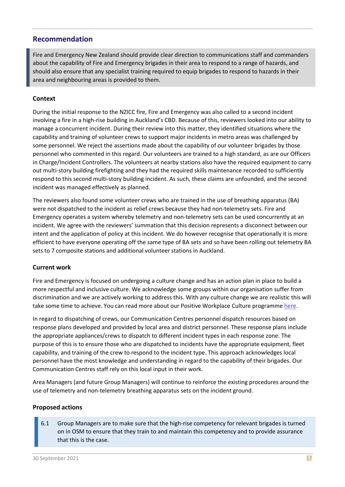**17** Fire and Emergency New Zealand should provide clear direction to communications staff and commanders about the capability of Fire and Emergency brigades in their area to respond to a range of hazards, and should also ensure that any specialist training required to equip brigades to respond to hazards in their area and neighbouring areas is provided to them.

#### **Context**

During the initial response to the NZICC fire, Fire and Emergency was also called to a second incident involving a fire in a high-rise building in Auckland's CBD. Because of this, reviewers looked into our ability to manage a concurrent incident. During their review into this matter, they identified situations where the capability and training of volunteer crews to support major incidents in metro areas was challenged by some personnel. We reject the assertions made about the capability of our volunteer brigades by those personnel who commented in this regard. Our volunteers are trained to a high standard, as are our Officers in Charge/Incident Controllers. The volunteers at nearby stations also have the required equipment to carry out multi-story building firefighting and they had the required skills maintenance recorded to sufficiently respond to this second multi-story building incident. As such, these claims are unfounded, and the second incident was managed effectively as planned.

The reviewers also found some volunteer crews who are trained in the use of breathing apparatus (BA) were not dispatched to the incident as relief crews because they had non-telemetry sets. Fire and Emergency operates a system whereby telemetry and non-telemetry sets can be used concurrently at an incident. We agree with the reviewers' summation that this decision represents a disconnect between our intent and the application of policy at this incident. We do however recognise that operationally it is more efficient to have everyone operating off the same type of BA sets and so have been rolling out telemetry BA sets to 7 composite stations and additional volunteer stations in Auckland.

#### **Current work**

Fire and Emergency is focused on undergoing a culture change and has an action plan in place to build a more respectful and inclusive culture. We acknowledge some groups within our organisation suffer from discrimination and we are actively working to address this. With any culture change we are realistic this will take some time to achieve. You can read more about our Positive Workplace Culture programme [here.](https://fireandemergency.nz/a-respectful-and-inclusive-fire-and-emergency/)

In regard to dispatching of crews, our Communication Centres personnel dispatch resources based on response plans developed and provided by local area and district personnel. These response plans include the appropriate appliances/crews to dispatch to different incident types in each response zone. The purpose of this is to ensure those who are dispatched to incidents have the appropriate equipment, fleet capability, and training of the crew to respond to the incident type. This approach acknowledges local personnel have the most knowledge and understanding in regard to the capability of their brigades. Our Communication Centres staff rely on this local input in their work.

Area Managers (and future Group Managers) will continue to reinforce the existing procedures around the use of telemetry and non-telemetry breathing apparatus sets on the incident ground.

#### **Proposed actions**

6.1 Group Managers are to make sure that the high-rise competency for relevant brigades is turned on in OSM to ensure that they train to and maintain this competency and to provide assurance that this is the case.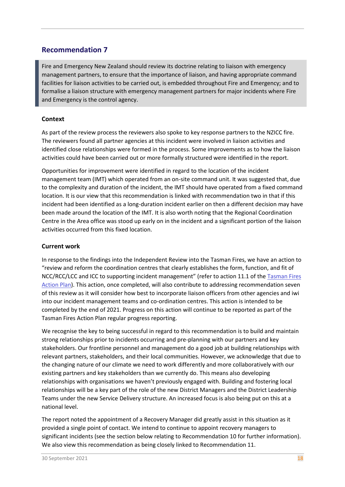Fire and Emergency New Zealand should review its doctrine relating to liaison with emergency management partners, to ensure that the importance of liaison, and having appropriate command facilities for liaison activities to be carried out, is embedded throughout Fire and Emergency; and to formalise a liaison structure with emergency management partners for major incidents where Fire and Emergency is the control agency.

#### **Context**

As part of the review process the reviewers also spoke to key response partners to the NZICC fire. The reviewers found all partner agencies at this incident were involved in liaison activities and identified close relationships were formed in the process. Some improvements as to how the liaison activities could have been carried out or more formally structured were identified in the report.

Opportunities for improvement were identified in regard to the location of the incident management team (IMT) which operated from an on-site command unit. It was suggested that, due to the complexity and duration of the incident, the IMT should have operated from a fixed command location. It is our view that this recommendation is linked with recommendation two in that if this incident had been identified as a long-duration incident earlier on then a different decision may have been made around the location of the IMT. It is also worth noting that the Regional Coordination Centre in the Area office was stood up early on in the incident and a significant portion of the liaison activities occurred from this fixed location.

#### **Current work**

In response to the findings into the Independent Review into the Tasman Fires, we have an action to "review and reform the coordination centres that clearly establishes the form, function, and fit of NCC/RCC/LCC and ICC to supporting incident management" (refer to action 11.1 of th[e Tasman Fires](https://fireandemergency.nz/assets/Documents/Research-and-reports/Tasman-Fires/Tasman-Fires-Action-Plan.pdf) [Action Plan\)](https://fireandemergency.nz/assets/Documents/Research-and-reports/Tasman-Fires/Tasman-Fires-Action-Plan.pdf). This action, once completed, will also contribute to addressing recommendation seven of this review as it will consider how best to incorporate liaison officers from other agencies and iwi into our incident management teams and co-ordination centres. This action is intended to be completed by the end of 2021. Progress on this action will continue to be reported as part of the Tasman Fires Action Plan regular progress reporting.

We recognise the key to being successful in regard to this recommendation is to build and maintain strong relationships prior to incidents occurring and pre-planning with our partners and key stakeholders. Our frontline personnel and management do a good job at building relationships with relevant partners, stakeholders, and their local communities. However, we acknowledge that due to the changing nature of our climate we need to work differently and more collaboratively with our existing partners and key stakeholders than we currently do. This means also developing relationships with organisations we haven't previously engaged with. Building and fostering local relationships will be a key part of the role of the new District Managers and the District Leadership Teams under the new Service Delivery structure. An increased focus is also being put on this at a national level.

The report noted the appointment of a Recovery Manager did greatly assist in this situation as it provided a single point of contact. We intend to continue to appoint recovery managers to significant incidents (see the section below relating to Recommendation 10 for further information). We also view this recommendation as being closely linked to Recommendation 11.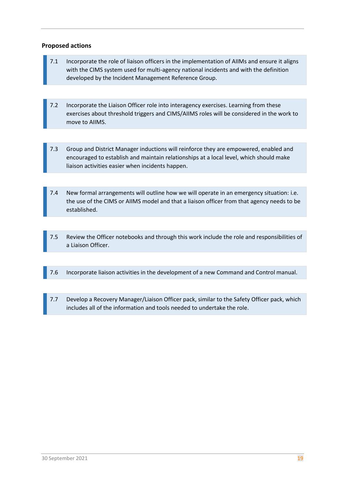- 7.1 Incorporate the role of liaison officers in the implementation of AIIMs and ensure it aligns with the CIMS system used for multi-agency national incidents and with the definition developed by the Incident Management Reference Group.
- 7.2 Incorporate the Liaison Officer role into interagency exercises. Learning from these exercises about threshold triggers and CIMS/AIIMS roles will be considered in the work to move to AIIMS.
- 7.3 Group and District Manager inductions will reinforce they are empowered, enabled and encouraged to establish and maintain relationships at a local level, which should make liaison activities easier when incidents happen.
- 7.4 New formal arrangements will outline how we will operate in an emergency situation: i.e. the use of the CIMS or AIIMS model and that a liaison officer from that agency needs to be established.
- 7.5 Review the Officer notebooks and through this work include the role and responsibilities of a Liaison Officer.
- 7.6 Incorporate liaison activities in the development of a new Command and Control manual.
- 7.7 Develop a Recovery Manager/Liaison Officer pack, similar to the Safety Officer pack, which includes all of the information and tools needed to undertake the role.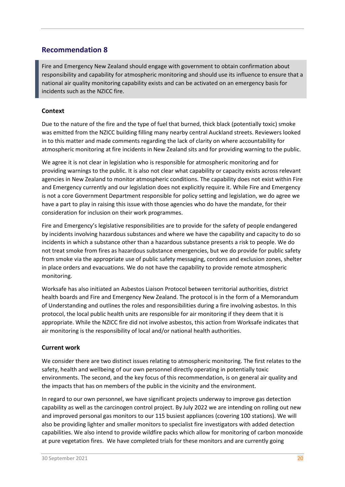Fire and Emergency New Zealand should engage with government to obtain confirmation about responsibility and capability for atmospheric monitoring and should use its influence to ensure that a national air quality monitoring capability exists and can be activated on an emergency basis for incidents such as the NZICC fire.

#### **Context**

Due to the nature of the fire and the type of fuel that burned, thick black (potentially toxic) smoke was emitted from the NZICC building filling many nearby central Auckland streets. Reviewers looked in to this matter and made comments regarding the lack of clarity on where accountability for atmospheric monitoring at fire incidents in New Zealand sits and for providing warning to the public.

We agree it is not clear in legislation who is responsible for atmospheric monitoring and for providing warnings to the public. It is also not clear what capability or capacity exists across relevant agencies in New Zealand to monitor atmospheric conditions. The capability does not exist within Fire and Emergency currently and our legislation does not explicitly require it. While Fire and Emergency is not a core Government Department responsible for policy setting and legislation, we do agree we have a part to play in raising this issue with those agencies who do have the mandate, for their consideration for inclusion on their work programmes.

Fire and Emergency's legislative responsibilities are to provide for the safety of people endangered by incidents involving hazardous substances and where we have the capability and capacity to do so incidents in which a substance other than a hazardous substance presents a risk to people. We do not treat smoke from fires as hazardous substance emergencies, but we do provide for public safety from smoke via the appropriate use of public safety messaging, cordons and exclusion zones, shelter in place orders and evacuations. We do not have the capability to provide remote atmospheric monitoring.

Worksafe has also initiated an Asbestos Liaison Protocol between territorial authorities, district health boards and Fire and Emergency New Zealand. The protocol is in the form of a Memorandum of Understanding and outlines the roles and responsibilities during a fire involving asbestos. In this protocol, the local public health units are responsible for air monitoring if they deem that it is appropriate. While the NZICC fire did not involve asbestos, this action from Worksafe indicates that air monitoring is the responsibility of local and/or national health authorities.

#### **Current work**

We consider there are two distinct issues relating to atmospheric monitoring. The first relates to the safety, health and wellbeing of our own personnel directly operating in potentially toxic environments. The second, and the key focus of this recommendation, is on general air quality and the impacts that has on members of the public in the vicinity and the environment.

In regard to our own personnel, we have significant projects underway to improve gas detection capability as well as the carcinogen control project. By July 2022 we are intending on rolling out new and improved personal gas monitors to our 115 busiest appliances (covering 100 stations). We will also be providing lighter and smaller monitors to specialist fire investigators with added detection capabilities. We also intend to provide wildfire packs which allow for monitoring of carbon monoxide at pure vegetation fires. We have completed trials for these monitors and are currently going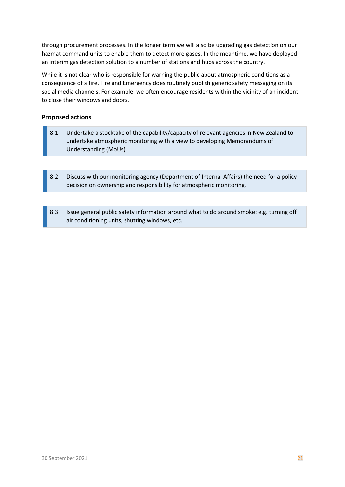through procurement processes. In the longer term we will also be upgrading gas detection on our hazmat command units to enable them to detect more gases. In the meantime, we have deployed an interim gas detection solution to a number of stations and hubs across the country.

While it is not clear who is responsible for warning the public about atmospheric conditions as a consequence of a fire, Fire and Emergency does routinely publish generic safety messaging on its social media channels. For example, we often encourage residents within the vicinity of an incident to close their windows and doors.

- 8.1 Undertake a stocktake of the capability/capacity of relevant agencies in New Zealand to undertake atmospheric monitoring with a view to developing Memorandums of Understanding (MoUs).
- 8.2 Discuss with our monitoring agency (Department of Internal Affairs) the need for a policy decision on ownership and responsibility for atmospheric monitoring.
- 8.3 Issue general public safety information around what to do around smoke: e.g. turning off air conditioning units, shutting windows, etc.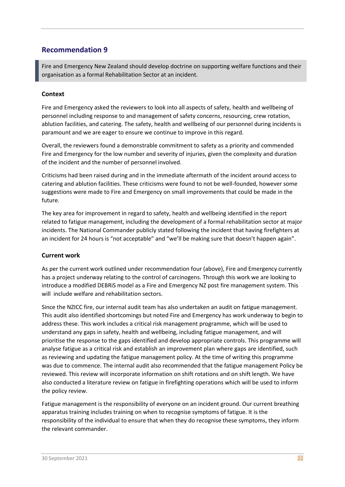Fire and Emergency New Zealand should develop doctrine on supporting welfare functions and their organisation as a formal Rehabilitation Sector at an incident.

#### **Context**

Fire and Emergency asked the reviewers to look into all aspects of safety, health and wellbeing of personnel including response to and management of safety concerns, resourcing, crew rotation, ablution facilities, and catering. The safety, health and wellbeing of our personnel during incidents is paramount and we are eager to ensure we continue to improve in this regard.

Overall, the reviewers found a demonstrable commitment to safety as a priority and commended Fire and Emergency for the low number and severity of injuries, given the complexity and duration of the incident and the number of personnel involved.

Criticisms had been raised during and in the immediate aftermath of the incident around access to catering and ablution facilities. These criticisms were found to not be well-founded, however some suggestions were made to Fire and Emergency on small improvements that could be made in the future.

The key area for improvement in regard to safety, health and wellbeing identified in the report related to fatigue management, including the development of a formal rehabilitation sector at major incidents. The National Commander publicly stated following the incident that having firefighters at an incident for 24 hours is "not acceptable" and "we'll be making sure that doesn't happen again".

#### **Current work**

As per the current work outlined under recommendation four (above), Fire and Emergency currently has a project underway relating to the control of carcinogens. Through this work we are looking to introduce a modified DEBRiS model as a Fire and Emergency NZ post fire management system. This will include welfare and rehabilitation sectors.

Since the NZICC fire, our internal audit team has also undertaken an audit on fatigue management. This audit also identified shortcomings but noted Fire and Emergency has work underway to begin to address these. This work includes a critical risk management programme, which will be used to understand any gaps in safety, health and wellbeing, including fatigue management, and will prioritise the response to the gaps identified and develop appropriate controls. This programme will analyse fatigue as a critical risk and establish an improvement plan where gaps are identified, such as reviewing and updating the fatigue management policy. At the time of writing this programme was due to commence. The internal audit also recommended that the fatigue management Policy be reviewed. This review will incorporate information on shift rotations and on shift length. We have also conducted a literature review on fatigue in firefighting operations which will be used to inform the policy review.

Fatigue management is the responsibility of everyone on an incident ground. Our current breathing apparatus training includes training on when to recognise symptoms of fatigue. It is the responsibility of the individual to ensure that when they do recognise these symptoms, they inform the relevant commander.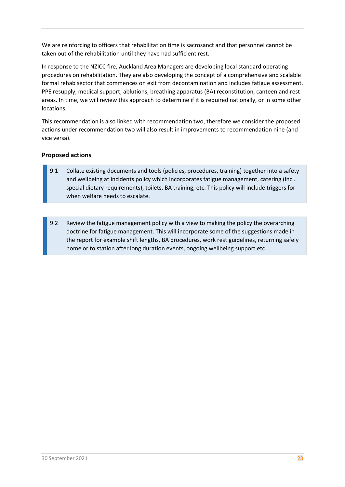We are reinforcing to officers that rehabilitation time is sacrosanct and that personnel cannot be taken out of the rehabilitation until they have had sufficient rest.

In response to the NZICC fire, Auckland Area Managers are developing local standard operating procedures on rehabilitation. They are also developing the concept of a comprehensive and scalable formal rehab sector that commences on exit from decontamination and includes fatigue assessment, PPE resupply, medical support, ablutions, breathing apparatus (BA) reconstitution, canteen and rest areas. In time, we will review this approach to determine if it is required nationally, or in some other locations.

This recommendation is also linked with recommendation two, therefore we consider the proposed actions under recommendation two will also result in improvements to recommendation nine (and vice versa).

- 9.1 Collate existing documents and tools (policies, procedures, training) together into a safety and wellbeing at incidents policy which incorporates fatigue management, catering (incl. special dietary requirements), toilets, BA training, etc. This policy will include triggers for when welfare needs to escalate.
- 9.2 Review the fatigue management policy with a view to making the policy the overarching doctrine for fatigue management. This will incorporate some of the suggestions made in the report for example shift lengths, BA procedures, work rest guidelines, returning safely home or to station after long duration events, ongoing wellbeing support etc.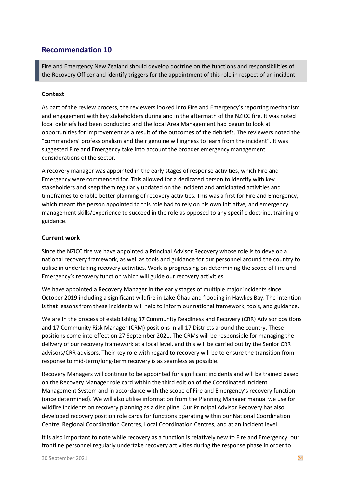Fire and Emergency New Zealand should develop doctrine on the functions and responsibilities of the Recovery Officer and identify triggers for the appointment of this role in respect of an incident

#### **Context**

As part of the review process, the reviewers looked into Fire and Emergency's reporting mechanism and engagement with key stakeholders during and in the aftermath of the NZICC fire. It was noted local debriefs had been conducted and the local Area Management had begun to look at opportunities for improvement as a result of the outcomes of the debriefs. The reviewers noted the "commanders' professionalism and their genuine willingness to learn from the incident". It was suggested Fire and Emergency take into account the broader emergency management considerations of the sector.

A recovery manager was appointed in the early stages of response activities, which Fire and Emergency were commended for. This allowed for a dedicated person to identify with key stakeholders and keep them regularly updated on the incident and anticipated activities and timeframes to enable better planning of recovery activities. This was a first for Fire and Emergency, which meant the person appointed to this role had to rely on his own initiative, and emergency management skills/experience to succeed in the role as opposed to any specific doctrine, training or guidance.

#### **Current work**

Since the NZICC fire we have appointed a Principal Advisor Recovery whose role is to develop a national recovery framework, as well as tools and guidance for our personnel around the country to utilise in undertaking recovery activities. Work is progressing on determining the scope of Fire and Emergency's recovery function which will guide our recovery activities.

We have appointed a Recovery Manager in the early stages of multiple major incidents since October 2019 including a significant wildfire in Lake Ōhau and flooding in Hawkes Bay. The intention is that lessons from these incidents will help to inform our national framework, tools, and guidance.

We are in the process of establishing 37 Community Readiness and Recovery (CRR) Advisor positions and 17 Community Risk Manager (CRM) positions in all 17 Districts around the country. These positions come into effect on 27 September 2021. The CRMs will be responsible for managing the delivery of our recovery framework at a local level, and this will be carried out by the Senior CRR advisors/CRR advisors. Their key role with regard to recovery will be to ensure the transition from response to mid-term/long-term recovery is as seamless as possible.

Recovery Managers will continue to be appointed for significant incidents and will be trained based on the Recovery Manager role card within the third edition of the Coordinated Incident Management System and in accordance with the scope of Fire and Emergency's recovery function (once determined). We will also utilise information from the Planning Manager manual we use for wildfire incidents on recovery planning as a discipline. Our Principal Advisor Recovery has also developed recovery position role cards for functions operating within our National Coordination Centre, Regional Coordination Centres, Local Coordination Centres, and at an incident level.

It is also important to note while recovery as a function is relatively new to Fire and Emergency, our frontline personnel regularly undertake recovery activities during the response phase in order to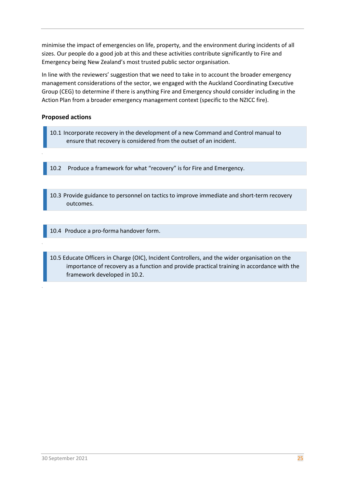minimise the impact of emergencies on life, property, and the environment during incidents of all sizes. Our people do a good job at this and these activities contribute significantly to Fire and Emergency being New Zealand's most trusted public sector organisation.

In line with the reviewers' suggestion that we need to take in to account the broader emergency management considerations of the sector, we engaged with the Auckland Coordinating Executive Group (CEG) to determine if there is anything Fire and Emergency should consider including in the Action Plan from a broader emergency management context (specific to the NZICC fire).

#### **Proposed actions**

`

`

10.1 Incorporate recovery in the development of a new Command and Control manual to ensure that recovery is considered from the outset of an incident.

10.2 Produce a framework for what "recovery" is for Fire and Emergency.

10.3 Provide guidance to personnel on tactics to improve immediate and short-term recovery outcomes.

10.4 Produce a pro-forma handover form.

10.5 Educate Officers in Charge (OIC), Incident Controllers, and the wider organisation on the importance of recovery as a function and provide practical training in accordance with the framework developed in 10.2.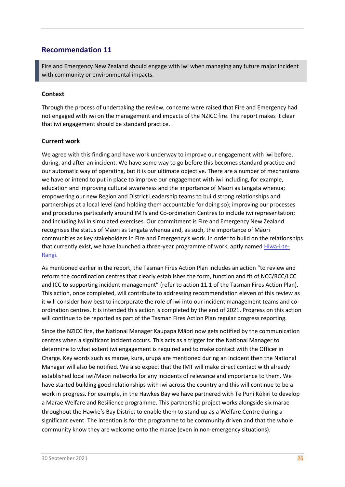Fire and Emergency New Zealand should engage with iwi when managing any future major incident with community or environmental impacts.

#### **Context**

Through the process of undertaking the review, concerns were raised that Fire and Emergency had not engaged with iwi on the management and impacts of the NZICC fire. The report makes it clear that iwi engagement should be standard practice.

#### **Current work**

We agree with this finding and have work underway to improve our engagement with iwi before, during, and after an incident. We have some way to go before this becomes standard practice and our automatic way of operating, but it is our ultimate objective. There are a number of mechanisms we have or intend to put in place to improve our engagement with iwi including, for example, education and improving cultural awareness and the importance of Māori as tangata whenua; empowering our new Region and District Leadership teams to build strong relationships and partnerships at a local level (and holding them accountable for doing so); improving our processes and procedures particularly around IMTs and Co-ordination Centres to include iwi representation; and including iwi in simulated exercises. Our commitment is Fire and Emergency New Zealand recognises the status of Māori as tangata whenua and, as such, the importance of Māori communities as key stakeholders in Fire and Emergency's work. In order to build on the relationships that currently exist, we have launched a three-year programme of work, aptly name[d Hiwa-i-te-](https://fireandemergency.nz/about-us/our-commitment-to-working-with-maori-as-tangata-whenua/)[Rangi.](https://fireandemergency.nz/about-us/our-commitment-to-working-with-maori-as-tangata-whenua/)

As mentioned earlier in the report, the Tasman Fires Action Plan includes an action "to review and reform the coordination centres that clearly establishes the form, function and fit of NCC/RCC/LCC and ICC to supporting incident management" (refer to action 11.1 of the Tasman Fires Action Plan). This action, once completed, will contribute to addressing recommendation eleven of this review as it will consider how best to incorporate the role of iwi into our incident management teams and coordination centres. It is intended this action is completed by the end of 2021. Progress on this action will continue to be reported as part of the Tasman Fires Action Plan regular progress reporting.

Since the NZICC fire, the National Manager Kaupapa Māori now gets notified by the communication centres when a significant incident occurs. This acts as a trigger for the National Manager to determine to what extent iwi engagement is required and to make contact with the Officer in Charge. Key words such as marae, kura, urupā are mentioned during an incident then the National Manager will also be notified. We also expect that the IMT will make direct contact with already established local iwi/Māori networks for any incidents of relevance and importance to them. We have started building good relationships with iwi across the country and this will continue to be a work in progress. For example, in the Hawkes Bay we have partnered with Te Puni Kōkiri to develop a Marae Welfare and Resilience programme. This partnership project works alongside six marae throughout the Hawke's Bay District to enable them to stand up as a Welfare Centre during a significant event. The intention is for the programme to be community driven and that the whole community know they are welcome onto the marae (even in non-emergency situations).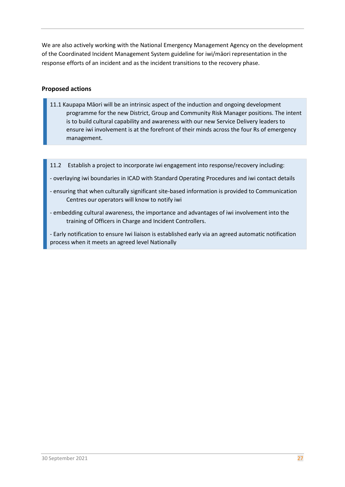We are also actively working with the National Emergency Management Agency on the development of the Coordinated Incident Management System guideline for iwi/māori representation in the response efforts of an incident and as the incident transitions to the recovery phase.

- 11.1 Kaupapa Māori will be an intrinsic aspect of the induction and ongoing development programme for the new District, Group and Community Risk Manager positions. The intent is to build cultural capability and awareness with our new Service Delivery leaders to ensure iwi involvement is at the forefront of their minds across the four Rs of emergency management.
- 11.2 Establish a project to incorporate iwi engagement into response/recovery including:
- overlaying iwi boundaries in ICAD with Standard Operating Procedures and iwi contact details
- ensuring that when culturally significant site-based information is provided to Communication Centres our operators will know to notify iwi
- embedding cultural awareness, the importance and advantages of iwi involvement into the training of Officers in Charge and Incident Controllers.
- Early notification to ensure Iwi liaison is established early via an agreed automatic notification process when it meets an agreed level Nationally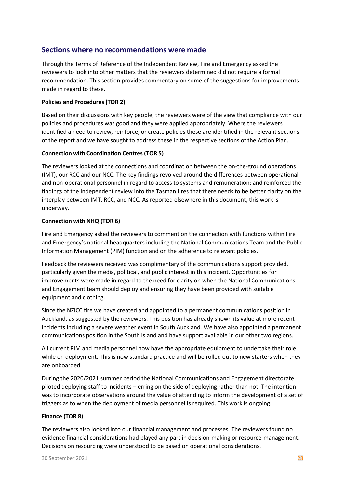## **Sections where no recommendations were made**

Through the Terms of Reference of the Independent Review, Fire and Emergency asked the reviewers to look into other matters that the reviewers determined did not require a formal recommendation. This section provides commentary on some of the suggestions for improvements made in regard to these.

#### **Policies and Procedures (TOR 2)**

Based on their discussions with key people, the reviewers were of the view that compliance with our policies and procedures was good and they were applied appropriately. Where the reviewers identified a need to review, reinforce, or create policies these are identified in the relevant sections of the report and we have sought to address these in the respective sections of the Action Plan.

#### **Connection with Coordination Centres (TOR 5)**

The reviewers looked at the connections and coordination between the on-the-ground operations (IMT), our RCC and our NCC. The key findings revolved around the differences between operational and non-operational personnel in regard to access to systems and remuneration; and reinforced the findings of the Independent review into the Tasman fires that there needs to be better clarity on the interplay between IMT, RCC, and NCC. As reported elsewhere in this document, this work is underway.

#### **Connection with NHQ (TOR 6)**

Fire and Emergency asked the reviewers to comment on the connection with functions within Fire and Emergency's national headquarters including the National Communications Team and the Public Information Management (PIM) function and on the adherence to relevant policies.

Feedback the reviewers received was complimentary of the communications support provided, particularly given the media, political, and public interest in this incident. Opportunities for improvements were made in regard to the need for clarity on when the National Communications and Engagement team should deploy and ensuring they have been provided with suitable equipment and clothing.

Since the NZICC fire we have created and appointed to a permanent communications position in Auckland, as suggested by the reviewers. This position has already shown its value at more recent incidents including a severe weather event in South Auckland. We have also appointed a permanent communications position in the South Island and have support available in our other two regions.

All current PIM and media personnel now have the appropriate equipment to undertake their role while on deployment. This is now standard practice and will be rolled out to new starters when they are onboarded.

During the 2020/2021 summer period the National Communications and Engagement directorate piloted deploying staff to incidents – erring on the side of deploying rather than not. The intention was to incorporate observations around the value of attending to inform the development of a set of triggers as to when the deployment of media personnel is required. This work is ongoing.

#### **Finance (TOR 8)**

The reviewers also looked into our financial management and processes. The reviewers found no evidence financial considerations had played any part in decision-making or resource-management. Decisions on resourcing were understood to be based on operational considerations.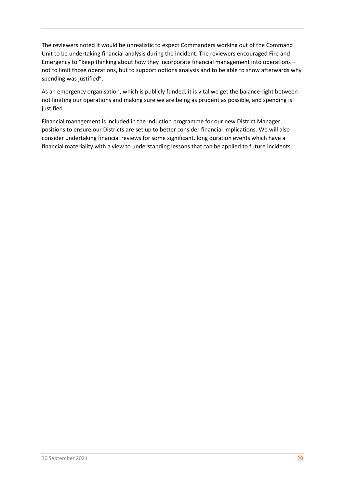The reviewers noted it would be unrealistic to expect Commanders working out of the Command Unit to be undertaking financial analysis during the incident. The reviewers encouraged Fire and Emergency to "keep thinking about how they incorporate financial management into operations – not to limit those operations, but to support options analysis and to be able to show afterwards why spending was justified".

As an emergency organisation, which is publicly funded, it is vital we get the balance right between not limiting our operations and making sure we are being as prudent as possible, and spending is justified.

Financial management is included in the induction programme for our new District Manager positions to ensure our Districts are set up to better consider financial implications. We will also consider undertaking financial reviews for some significant, long duration events which have a financial materiality with a view to understanding lessons that can be applied to future incidents.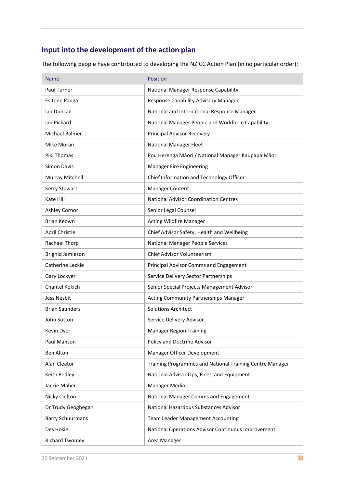# **Input into the development of the action plan**

The following people have contributed to developing the NZICC Action Plan (in no particular order):

| Name                    | <b>Position</b>                                          |
|-------------------------|----------------------------------------------------------|
| Paul Turner             | National Manager Response Capability                     |
| <b>Esitone Pauga</b>    | Response Capability Advisory Manager                     |
| lan Duncan              | National and International Response Manager              |
| lan Pickard             | National Manager People and Workforce Capability         |
| Michael Balmer          | Principal Advisor Recovery                               |
| Mike Moran              | <b>National Manager Fleet</b>                            |
| Piki Thomas             | Pou Herenga Māori / National Manager Kaupapa Māori       |
| <b>Simon Davis</b>      | <b>Manager Fire Engineering</b>                          |
| Murray Mitchell         | Chief Information and Technology Officer                 |
| Kerry Stewart           | <b>Manager Content</b>                                   |
| Kate Hill               | <b>National Advisor Coordination Centres</b>             |
| Ashley Cornor           | Senior Legal Counsel                                     |
| <b>Brian Keown</b>      | <b>Acting Wildfire Manager</b>                           |
| April Christie          | Chief Advisor Safety, Health and Wellbeing               |
| Rachael Thorp           | National Manager People Services                         |
| <b>Brighid Jamieson</b> | Chief Advisor Volunteerism                               |
| Catherine Leckie        | Principal Advisor Comms and Engagement                   |
| Gary Lockyer            | Service Delivery Sector Partnerships                     |
| <b>Chantel Kokich</b>   | Senior Special Projects Management Advisor               |
| <b>Jess Nesbit</b>      | Acting Community Partnerships Manager                    |
| <b>Brian Saunders</b>   | <b>Solutions Architect</b>                               |
| John Sutton             | Service Delivery Advisor                                 |
| Kevin Dyer              | Manager Region Training                                  |
| Paul Manson             | Policy and Doctrine Advisor                              |
| Ben Alton               | Manager Officer Development                              |
| Alan Cleator            | Training Programmes and National Training Centre Manager |
| Keith Pedley            | National Advisor Ops, Fleet, and Equipment               |
| Jackie Maher            | Manager Media                                            |
| Nicky Chilton           | National Manager Comms and Engagement                    |
| Dr Trudy Geoghegan      | National Hazardous Substances Advisor                    |
| <b>Barry Schuurmans</b> | <b>Team Leader Management Accounting</b>                 |
| Des Hosie               | National Operations Advisor Continuous Improvement       |
| <b>Richard Twomey</b>   | Area Manager                                             |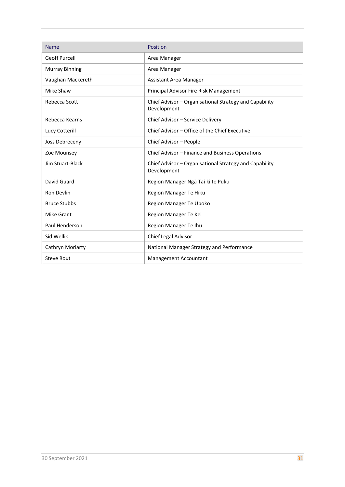| <b>Name</b>           | Position                                                              |
|-----------------------|-----------------------------------------------------------------------|
| <b>Geoff Purcell</b>  | Area Manager                                                          |
| <b>Murray Binning</b> | Area Manager                                                          |
| Vaughan Mackereth     | Assistant Area Manager                                                |
| Mike Shaw             | Principal Advisor Fire Risk Management                                |
| Rebecca Scott         | Chief Advisor - Organisational Strategy and Capability<br>Development |
| Rebecca Kearns        | Chief Advisor - Service Delivery                                      |
| Lucy Cotterill        | Chief Advisor – Office of the Chief Executive                         |
| Joss Debreceny        | Chief Advisor - People                                                |
| Zoe Mounsey           | Chief Advisor - Finance and Business Operations                       |
| Jim Stuart-Black      | Chief Advisor - Organisational Strategy and Capability<br>Development |
| David Guard           | Region Manager Ngā Tai ki te Puku                                     |
| Ron Devlin            | Region Manager Te Hiku                                                |
| <b>Bruce Stubbs</b>   | Region Manager Te Upoko                                               |
| Mike Grant            | Region Manager Te Kei                                                 |
| Paul Henderson        | Region Manager Te Ihu                                                 |
| Sid Wellik            | Chief Legal Advisor                                                   |
| Cathryn Moriarty      | National Manager Strategy and Performance                             |
| <b>Steve Rout</b>     | Management Accountant                                                 |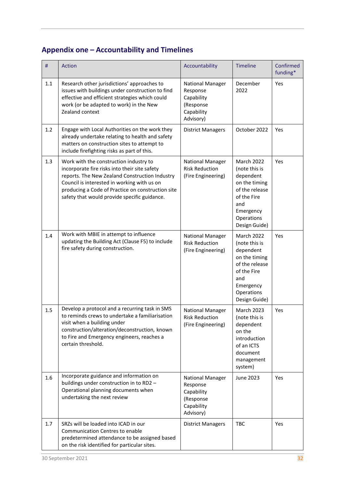# **Appendix one – Accountability and Timelines**

| #   | <b>Action</b>                                                                                                                                                                                                                                                                                 | Accountability                                                                     | <b>Timeline</b>                                                                                                                                      | Confirmed<br>funding* |
|-----|-----------------------------------------------------------------------------------------------------------------------------------------------------------------------------------------------------------------------------------------------------------------------------------------------|------------------------------------------------------------------------------------|------------------------------------------------------------------------------------------------------------------------------------------------------|-----------------------|
| 1.1 | Research other jurisdictions' approaches to<br>issues with buildings under construction to find<br>effective and efficient strategies which could<br>work (or be adapted to work) in the New<br>Zealand context                                                                               | National Manager<br>Response<br>Capability<br>(Response<br>Capability<br>Advisory) | December<br>2022                                                                                                                                     | Yes                   |
| 1.2 | Engage with Local Authorities on the work they<br>already undertake relating to health and safety<br>matters on construction sites to attempt to<br>include firefighting risks as part of this.                                                                                               | <b>District Managers</b>                                                           | October 2022                                                                                                                                         | <b>Yes</b>            |
| 1.3 | Work with the construction industry to<br>incorporate fire risks into their site safety<br>reports. The New Zealand Construction Industry<br>Council is interested in working with us on<br>producing a Code of Practice on construction site<br>safety that would provide specific guidance. | National Manager<br><b>Risk Reduction</b><br>(Fire Engineering)                    | <b>March 2022</b><br>(note this is<br>dependent<br>on the timing<br>of the release<br>of the Fire<br>and<br>Emergency<br>Operations<br>Design Guide) | Yes                   |
| 1.4 | Work with MBIE in attempt to influence<br>updating the Building Act (Clause F5) to include<br>fire safety during construction.                                                                                                                                                                | <b>National Manager</b><br><b>Risk Reduction</b><br>(Fire Engineering)             | <b>March 2022</b><br>(note this is<br>dependent<br>on the timing<br>of the release<br>of the Fire<br>and<br>Emergency<br>Operations<br>Design Guide) | Yes                   |
| 1.5 | Develop a protocol and a recurring task in SMS<br>to reminds crews to undertake a familiarisation<br>visit when a building under<br>construction/alteration/deconstruction, known<br>to Fire and Emergency engineers, reaches a<br>certain threshold.                                         | <b>National Manager</b><br><b>Risk Reduction</b><br>(Fire Engineering)             | March 2023<br>(note this is<br>dependent<br>on the<br>introduction<br>of an ICTS<br>document<br>management<br>system)                                | Yes                   |
| 1.6 | Incorporate guidance and information on<br>buildings under construction in to RD2 -<br>Operational planning documents when<br>undertaking the next review                                                                                                                                     | National Manager<br>Response<br>Capability<br>(Response<br>Capability<br>Advisory) | June 2023                                                                                                                                            | <b>Yes</b>            |
| 1.7 | SRZs will be loaded into ICAD in our<br>Communication Centres to enable<br>predetermined attendance to be assigned based<br>on the risk identified for particular sites.                                                                                                                      | <b>District Managers</b>                                                           | <b>TBC</b>                                                                                                                                           | Yes                   |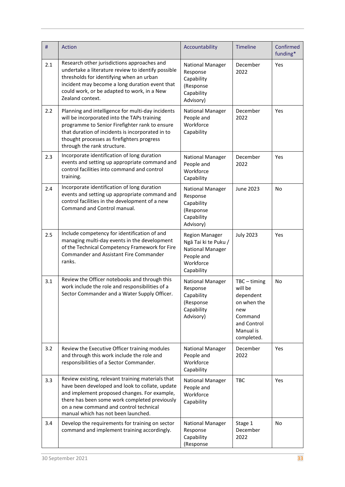| #   | <b>Action</b>                                                                                                                                                                                                                                                                          | Accountability                                                                                                    | Timeline                                                                                                          | Confirmed<br>funding* |
|-----|----------------------------------------------------------------------------------------------------------------------------------------------------------------------------------------------------------------------------------------------------------------------------------------|-------------------------------------------------------------------------------------------------------------------|-------------------------------------------------------------------------------------------------------------------|-----------------------|
| 2.1 | Research other jurisdictions approaches and<br>undertake a literature review to identify possible<br>thresholds for identifying when an urban<br>incident may become a long duration event that<br>could work, or be adapted to work, in a New<br>Zealand context.                     | <b>National Manager</b><br>Response<br>Capability<br>(Response<br>Capability<br>Advisory)                         | December<br>2022                                                                                                  | Yes                   |
| 2.2 | Planning and intelligence for multi-day incidents<br>will be incorporated into the TAPs training<br>programme to Senior Firefighter rank to ensure<br>that duration of incidents is incorporated in to<br>thought processes as firefighters progress<br>through the rank structure.    | <b>National Manager</b><br>People and<br>Workforce<br>Capability                                                  | December<br>2022                                                                                                  | Yes                   |
| 2.3 | Incorporate identification of long duration<br>events and setting up appropriate command and<br>control facilities into command and control<br>training.                                                                                                                               | <b>National Manager</b><br>People and<br>Workforce<br>Capability                                                  | December<br>2022                                                                                                  | Yes                   |
| 2.4 | Incorporate identification of long duration<br>events and setting up appropriate command and<br>control facilities in the development of a new<br>Command and Control manual.                                                                                                          | <b>National Manager</b><br>Response<br>Capability<br>(Response<br>Capability<br>Advisory)                         | June 2023                                                                                                         | No                    |
| 2.5 | Include competency for identification of and<br>managing multi-day events in the development<br>of the Technical Competency Framework for Fire<br><b>Commander and Assistant Fire Commander</b><br>ranks.                                                                              | <b>Region Manager</b><br>Ngā Tai ki te Puku /<br><b>National Manager</b><br>People and<br>Workforce<br>Capability | <b>July 2023</b>                                                                                                  | Yes                   |
| 3.1 | Review the Officer notebooks and through this<br>work include the role and responsibilities of a<br>Sector Commander and a Water Supply Officer.                                                                                                                                       | <b>National Manager</b><br>Response<br>Capability<br>(Response<br>Capability<br>Advisory)                         | $TBC - timing$<br>will be<br>dependent<br>on when the<br>new<br>Command<br>and Control<br>Manual is<br>completed. | No                    |
| 3.2 | Review the Executive Officer training modules<br>and through this work include the role and<br>responsibilities of a Sector Commander.                                                                                                                                                 | <b>National Manager</b><br>People and<br>Workforce<br>Capability                                                  | December<br>2022                                                                                                  | Yes                   |
| 3.3 | Review existing, relevant training materials that<br>have been developed and look to collate, update<br>and implement proposed changes. For example,<br>there has been some work completed previously<br>on a new command and control technical<br>manual which has not been launched. | <b>National Manager</b><br>People and<br>Workforce<br>Capability                                                  | <b>TBC</b>                                                                                                        | Yes                   |
| 3.4 | Develop the requirements for training on sector<br>command and implement training accordingly.                                                                                                                                                                                         | <b>National Manager</b><br>Response<br>Capability<br>(Response                                                    | Stage 1<br>December<br>2022                                                                                       | <b>No</b>             |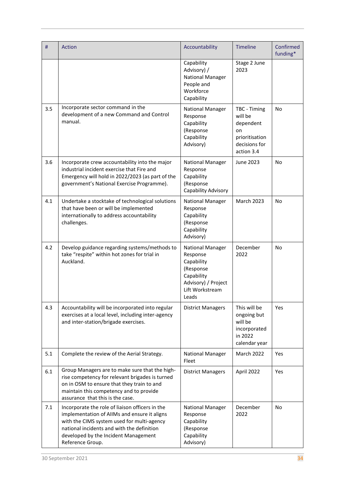| #   | <b>Action</b>                                                                                                                                                                                                                                           | Accountability                                                                                                           | <b>Timeline</b>                                                                             | Confirmed<br>funding* |
|-----|---------------------------------------------------------------------------------------------------------------------------------------------------------------------------------------------------------------------------------------------------------|--------------------------------------------------------------------------------------------------------------------------|---------------------------------------------------------------------------------------------|-----------------------|
|     |                                                                                                                                                                                                                                                         | Capability<br>Advisory) /<br><b>National Manager</b><br>People and<br>Workforce<br>Capability                            | Stage 2 June<br>2023                                                                        |                       |
| 3.5 | Incorporate sector command in the<br>development of a new Command and Control<br>manual.                                                                                                                                                                | <b>National Manager</b><br>Response<br>Capability<br>(Response<br>Capability<br>Advisory)                                | TBC - Timing<br>will be<br>dependent<br>on<br>prioritisation<br>decisions for<br>action 3.4 | <b>No</b>             |
| 3.6 | Incorporate crew accountability into the major<br>industrial incident exercise that Fire and<br>Emergency will hold in 2022/2023 (as part of the<br>government's National Exercise Programme).                                                          | <b>National Manager</b><br>Response<br>Capability<br>(Response<br>Capability Advisory                                    | June 2023                                                                                   | No                    |
| 4.1 | Undertake a stocktake of technological solutions<br>that have been or will be implemented<br>internationally to address accountability<br>challenges.                                                                                                   | National Manager<br>Response<br>Capability<br>(Response<br>Capability<br>Advisory)                                       | <b>March 2023</b>                                                                           | No                    |
| 4.2 | Develop guidance regarding systems/methods to<br>take "respite" within hot zones for trial in<br>Auckland.                                                                                                                                              | National Manager<br>Response<br>Capability<br>(Response<br>Capability<br>Advisory) / Project<br>Lift Workstream<br>Leads | December<br>2022                                                                            | <b>No</b>             |
| 4.3 | Accountability will be incorporated into regular<br>exercises at a local level, including inter-agency<br>and inter-station/brigade exercises.                                                                                                          | <b>District Managers</b>                                                                                                 | This will be<br>ongoing but<br>will be<br>incorporated<br>in 2022<br>calendar year          | Yes                   |
| 5.1 | Complete the review of the Aerial Strategy.                                                                                                                                                                                                             | <b>National Manager</b><br>Fleet                                                                                         | March 2022                                                                                  | Yes                   |
| 6.1 | Group Managers are to make sure that the high-<br>rise competency for relevant brigades is turned<br>on in OSM to ensure that they train to and<br>maintain this competency and to provide<br>assurance that this is the case.                          | <b>District Managers</b>                                                                                                 | April 2022                                                                                  | Yes                   |
| 7.1 | Incorporate the role of liaison officers in the<br>implementation of AIIMs and ensure it aligns<br>with the CIMS system used for multi-agency<br>national incidents and with the definition<br>developed by the Incident Management<br>Reference Group. | <b>National Manager</b><br>Response<br>Capability<br>(Response<br>Capability<br>Advisory)                                | December<br>2022                                                                            | No                    |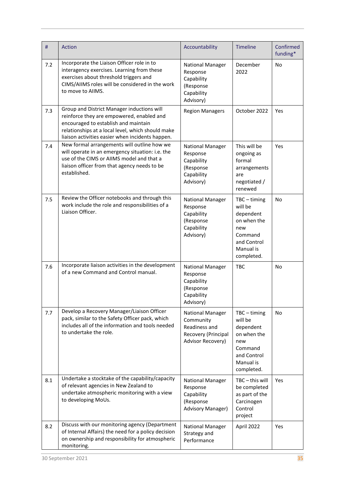| #   | <b>Action</b>                                                                                                                                                                                                                            | Accountability                                                                                    | <b>Timeline</b>                                                                                                   | Confirmed<br>funding* |
|-----|------------------------------------------------------------------------------------------------------------------------------------------------------------------------------------------------------------------------------------------|---------------------------------------------------------------------------------------------------|-------------------------------------------------------------------------------------------------------------------|-----------------------|
| 7.2 | Incorporate the Liaison Officer role in to<br>interagency exercises. Learning from these<br>exercises about threshold triggers and<br>CIMS/AIIMS roles will be considered in the work<br>to move to AIIMS.                               | <b>National Manager</b><br>Response<br>Capability<br>(Response<br>Capability<br>Advisory)         | December<br>2022                                                                                                  | <b>No</b>             |
| 7.3 | Group and District Manager inductions will<br>reinforce they are empowered, enabled and<br>encouraged to establish and maintain<br>relationships at a local level, which should make<br>liaison activities easier when incidents happen. | <b>Region Managers</b>                                                                            | October 2022                                                                                                      | Yes                   |
| 7.4 | New formal arrangements will outline how we<br>will operate in an emergency situation: i.e. the<br>use of the CIMS or AIIMS model and that a<br>liaison officer from that agency needs to be<br>established.                             | <b>National Manager</b><br>Response<br>Capability<br>(Response<br>Capability<br>Advisory)         | This will be<br>ongoing as<br>formal<br>arrangements<br>are<br>negotiated /<br>renewed                            | Yes                   |
| 7.5 | Review the Officer notebooks and through this<br>work include the role and responsibilities of a<br>Liaison Officer.                                                                                                                     | <b>National Manager</b><br>Response<br>Capability<br>(Response<br>Capability<br>Advisory)         | $TBC - timing$<br>will be<br>dependent<br>on when the<br>new<br>Command<br>and Control<br>Manual is<br>completed. | <b>No</b>             |
| 7.6 | Incorporate liaison activities in the development<br>of a new Command and Control manual.                                                                                                                                                | <b>National Manager</b><br>Response<br>Capability<br>(Response<br>Capability<br>Advisory)         | <b>TBC</b>                                                                                                        | <b>No</b>             |
| 7.7 | Develop a Recovery Manager/Liaison Officer<br>pack, similar to the Safety Officer pack, which<br>includes all of the information and tools needed<br>to undertake the role.                                                              | <b>National Manager</b><br>Community<br>Readiness and<br>Recovery (Principal<br>Advisor Recovery) | $TBC - timing$<br>will be<br>dependent<br>on when the<br>new<br>Command<br>and Control<br>Manual is<br>completed. | <b>No</b>             |
| 8.1 | Undertake a stocktake of the capability/capacity<br>of relevant agencies in New Zealand to<br>undertake atmospheric monitoring with a view<br>to developing MoUs.                                                                        | <b>National Manager</b><br>Response<br>Capability<br>(Response<br><b>Advisory Manager)</b>        | TBC-this will<br>be completed<br>as part of the<br>Carcinogen<br>Control<br>project                               | <b>Yes</b>            |
| 8.2 | Discuss with our monitoring agency (Department<br>of Internal Affairs) the need for a policy decision<br>on ownership and responsibility for atmospheric<br>monitoring.                                                                  | <b>National Manager</b><br>Strategy and<br>Performance                                            | April 2022                                                                                                        | Yes                   |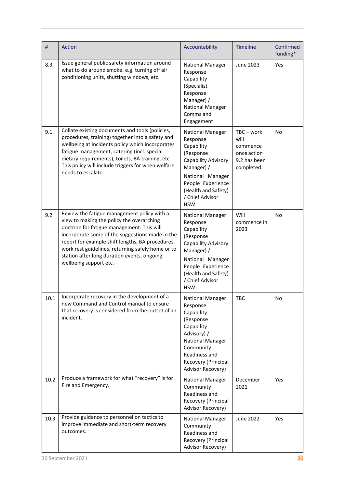| #    | <b>Action</b>                                                                                                                                                                                                                                                                                                                                                               | Accountability                                                                                                                                                                                       | <b>Timeline</b>                                                           | Confirmed<br>funding* |
|------|-----------------------------------------------------------------------------------------------------------------------------------------------------------------------------------------------------------------------------------------------------------------------------------------------------------------------------------------------------------------------------|------------------------------------------------------------------------------------------------------------------------------------------------------------------------------------------------------|---------------------------------------------------------------------------|-----------------------|
| 8.3  | Issue general public safety information around<br>what to do around smoke: e.g. turning off air<br>conditioning units, shutting windows, etc.                                                                                                                                                                                                                               | <b>National Manager</b><br>Response<br>Capability<br>(Specialist<br>Response<br>Manager) /<br><b>National Manager</b><br>Comms and<br>Engagement                                                     | June 2023                                                                 | Yes                   |
| 9.1  | Collate existing documents and tools (policies,<br>procedures, training) together into a safety and<br>wellbeing at incidents policy which incorporates<br>fatigue management, catering (incl. special<br>dietary requirements), toilets, BA training, etc.<br>This policy will include triggers for when welfare<br>needs to escalate.                                     | National Manager<br>Response<br>Capability<br>(Response<br>Capability Advisory<br>Manager) /<br>National Manager<br>People Experience<br>(Health and Safety)<br>/ Chief Advisor<br><b>HSW</b>        | TBC-work<br>will<br>commence<br>once action<br>9.2 has been<br>completed. | No                    |
| 9.2  | Review the fatigue management policy with a<br>view to making the policy the overarching<br>doctrine for fatigue management. This will<br>incorporate some of the suggestions made in the<br>report for example shift lengths, BA procedures,<br>work rest guidelines, returning safely home or to<br>station after long duration events, ongoing<br>wellbeing support etc. | <b>National Manager</b><br>Response<br>Capability<br>(Response<br>Capability Advisory<br>Manager) /<br>National Manager<br>People Experience<br>(Health and Safety)<br>/ Chief Advisor<br><b>HSW</b> | Will<br>commence in<br>2023                                               | No                    |
| 10.1 | Incorporate recovery in the development of a<br>new Command and Control manual to ensure<br>that recovery is considered from the outset of an<br>incident.                                                                                                                                                                                                                  | National Manager<br>Response<br>Capability<br>(Response<br>Capability<br>Advisory) /<br>National Manager<br>Community<br>Readiness and<br>Recovery (Principal<br>Advisor Recovery)                   | <b>TBC</b>                                                                | No                    |
| 10.2 | Produce a framework for what "recovery" is for<br>Fire and Emergency.                                                                                                                                                                                                                                                                                                       | National Manager<br>Community<br>Readiness and<br>Recovery (Principal<br>Advisor Recovery)                                                                                                           | December<br>2021                                                          | Yes                   |
| 10.3 | Provide guidance to personnel on tactics to<br>improve immediate and short-term recovery<br>outcomes.                                                                                                                                                                                                                                                                       | National Manager<br>Community<br>Readiness and<br>Recovery (Principal<br>Advisor Recovery)                                                                                                           | <b>June 2022</b>                                                          | Yes                   |